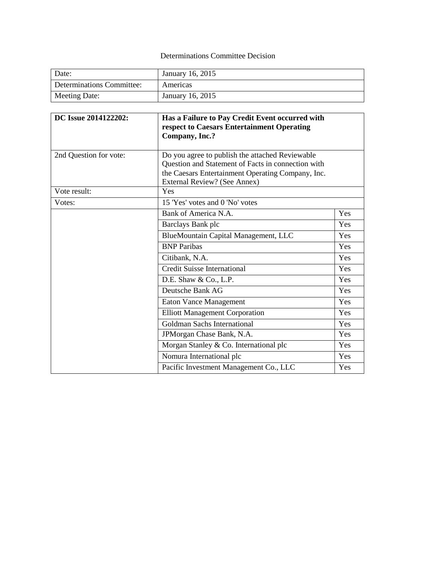# Determinations Committee Decision

| Date:                     | January 16, 2015 |
|---------------------------|------------------|
| Determinations Committee: | Americas         |
| Meeting Date:             | January 16, 2015 |

| DC Issue 2014122202:   | Has a Failure to Pay Credit Event occurred with<br>respect to Caesars Entertainment Operating<br>Company, Inc.? |     |
|------------------------|-----------------------------------------------------------------------------------------------------------------|-----|
| 2nd Question for vote: | Do you agree to publish the attached Reviewable<br>Question and Statement of Facts in connection with           |     |
|                        | the Caesars Entertainment Operating Company, Inc.<br>External Review? (See Annex)                               |     |
| Vote result:           | Yes                                                                                                             |     |
| Votes:                 | 15 'Yes' votes and 0 'No' votes                                                                                 |     |
|                        | Bank of America N.A.                                                                                            | Yes |
|                        | Barclays Bank plc                                                                                               | Yes |
|                        | BlueMountain Capital Management, LLC                                                                            | Yes |
|                        | <b>BNP</b> Paribas                                                                                              | Yes |
|                        | Citibank, N.A.                                                                                                  | Yes |
|                        | <b>Credit Suisse International</b>                                                                              | Yes |
|                        | D.E. Shaw & Co., L.P.                                                                                           | Yes |
|                        | Deutsche Bank AG                                                                                                | Yes |
|                        | <b>Eaton Vance Management</b>                                                                                   | Yes |
|                        | <b>Elliott Management Corporation</b>                                                                           | Yes |
|                        | Goldman Sachs International                                                                                     | Yes |
|                        | JPMorgan Chase Bank, N.A.                                                                                       | Yes |
|                        | Morgan Stanley & Co. International plc                                                                          | Yes |
|                        | Nomura International plc                                                                                        | Yes |
|                        | Pacific Investment Management Co., LLC                                                                          | Yes |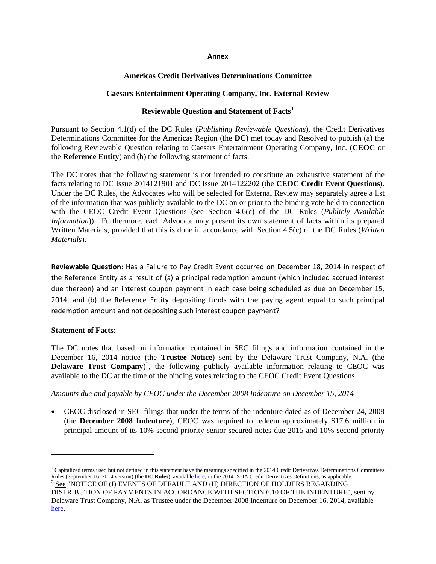#### **Annex**

## **Americas Credit Derivatives Determinations Committee**

# **Caesars Entertainment Operating Company, Inc. External Review**

# **Reviewable Question and Statement of Facts[1](#page-1-0)**

Pursuant to Section 4.1(d) of the DC Rules (*Publishing Reviewable Questions*), the Credit Derivatives Determinations Committee for the Americas Region (the **DC**) met today and Resolved to publish (a) the following Reviewable Question relating to Caesars Entertainment Operating Company, Inc. (**CEOC** or the **Reference Entity**) and (b) the following statement of facts.

The DC notes that the following statement is not intended to constitute an exhaustive statement of the facts relating to DC Issue 2014121901 and DC Issue 2014122202 (the **CEOC Credit Event Questions**). Under the DC Rules, the Advocates who will be selected for External Review may separately agree a list of the information that was publicly available to the DC on or prior to the binding vote held in connection with the CEOC Credit Event Questions (see Section 4.6(c) of the DC Rules (*Publicly Available Information*)). Furthermore, each Advocate may present its own statement of facts within its prepared Written Materials, provided that this is done in accordance with Section 4.5(c) of the DC Rules (*Written Materials*).

**Reviewable Question**: Has a Failure to Pay Credit Event occurred on December 18, 2014 in respect of the Reference Entity as a result of (a) a principal redemption amount (which included accrued interest due thereon) and an interest coupon payment in each case being scheduled as due on December 15, 2014, and (b) the Reference Entity depositing funds with the paying agent equal to such principal redemption amount and not depositing such interest coupon payment?

## **Statement of Facts**:

 $\overline{\phantom{a}}$ 

The DC notes that based on information contained in SEC filings and information contained in the December 16, 2014 notice (the **Trustee Notice**) sent by the Delaware Trust Company, N.A. (the **Delaware Trust Company**<sup>[2](#page-1-1)</sup>, the following publicly available information relating to CEOC was available to the DC at the time of the binding votes relating to the CEOC Credit Event Questions.

*Amounts due and payable by CEOC under the December 2008 Indenture on December 15, 2014*

• CEOC disclosed in SEC filings that under the terms of the indenture dated as of December 24, 2008 (the **December 2008 Indenture**), CEOC was required to redeem approximately \$17.6 million in principal amount of its 10% second-priority senior secured notes due 2015 and 10% second-priority

<span id="page-1-0"></span> $^1$  Capitalized terms used but not defined in this statement have the meanings specified in the 2014 Credit Derivatives Determinations Committees Rules (September 16, 2014 version) (the **DC Rules**), available here, or th <sup>2</sup> <u>See</u> "NOTICE OF (I) EVENTS OF DEFAULT AND (II) DIRECTION OF HOLDERS REGARDING

<span id="page-1-1"></span>DISTRIBUTION OF PAYMENTS IN ACCORDANCE WITH SECTION 6.10 OF THE INDENTURE", sent by Delaware Trust Company, N.A. as Trustee under the December 2008 Indenture on December 16, 2014, available [here.](http://dc.isda.org/documents/2014/12/delaware-trust_caesars_notice-to-holders_december-15-2014-v1-2.pdf)